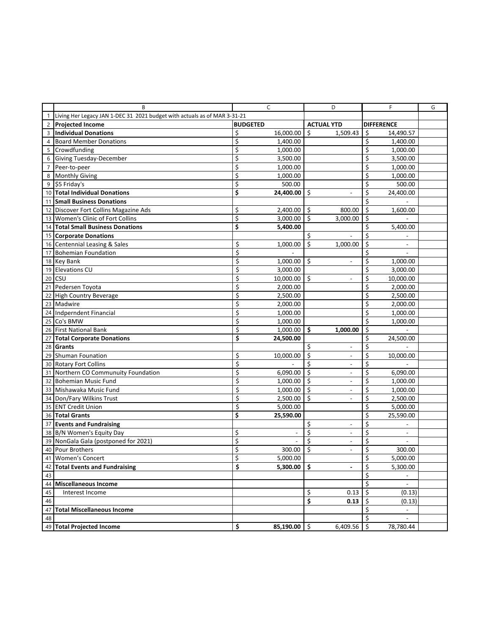|                | B                                                                         | C               | D                                  | F                              | G |
|----------------|---------------------------------------------------------------------------|-----------------|------------------------------------|--------------------------------|---|
|                | Living Her Legacy JAN 1-DEC 31 2021 budget with actuals as of MAR 3-31-21 |                 |                                    |                                |   |
| $2^{\circ}$    | <b>Projected Income</b>                                                   | <b>BUDGETED</b> | <b>ACTUAL YTD</b>                  | <b>DIFFERENCE</b>              |   |
| 3              | <b>Individual Donations</b>                                               | \$<br>16,000.00 | \$<br>1,509.43                     | \$<br>14,490.57                |   |
| $\overline{4}$ | <b>Board Member Donations</b>                                             | \$<br>1,400.00  |                                    | \$<br>1,400.00                 |   |
| 5 <sup>5</sup> | Crowdfunding                                                              | \$<br>1,000.00  |                                    | \$<br>1,000.00                 |   |
| 6              | Giving Tuesday-December                                                   | \$<br>3,500.00  |                                    | \$<br>3,500.00                 |   |
| $\overline{7}$ | Peer-to-peer                                                              | \$<br>1,000.00  |                                    | \$<br>1,000.00                 |   |
| 8              | <b>Monthly Giving</b>                                                     | \$<br>1,000.00  |                                    | \$<br>1,000.00                 |   |
| 9              | \$5 Friday's                                                              | \$<br>500.00    |                                    | \$<br>500.00                   |   |
|                | 10 Total Individual Donations                                             | \$<br>24,400.00 | \$                                 | \$<br>24,400.00                |   |
|                | 11 Small Business Donations                                               |                 |                                    | \$                             |   |
|                | 12 Discover Fort Collins Magazine Ads                                     | \$<br>2,400.00  | \$<br>800.00                       | \$<br>1,600.00                 |   |
|                | 13 Women's Clinic of Fort Collins                                         | \$<br>3,000.00  | \$<br>3,000.00                     | \$                             |   |
|                | 14 Total Small Business Donations                                         | \$<br>5,400.00  |                                    | \$<br>5,400.00                 |   |
|                | 15 Corporate Donations                                                    |                 | Ś.                                 | Ś.                             |   |
|                | 16 Centennial Leasing & Sales                                             | \$<br>1,000.00  | \$<br>1,000.00                     | \$                             |   |
|                | 17 Bohemian Foundation                                                    | \$              |                                    | \$<br>$\overline{\phantom{a}}$ |   |
|                | 18 Key Bank                                                               | \$<br>1,000.00  | \$<br>$\qquad \qquad \blacksquare$ | \$<br>1,000.00                 |   |
|                | 19 Elevations CU                                                          | \$<br>3,000.00  |                                    | \$<br>3,000.00                 |   |
| 20             | <b>CSU</b>                                                                | \$<br>10,000.00 | \$                                 | \$<br>10,000.00                |   |
|                | 21 Pedersen Toyota                                                        | \$<br>2,000.00  |                                    | \$<br>2,000.00                 |   |
| 22             | <b>High Country Beverage</b>                                              | \$<br>2,500.00  |                                    | \$<br>2,500.00                 |   |
|                | 23 Madwire                                                                | \$<br>2,000.00  |                                    | \$<br>2,000.00                 |   |
|                | 24 Indperndent Financial                                                  | \$<br>1,000.00  |                                    | \$<br>1,000.00                 |   |
|                | 25 Co's BMW                                                               | \$<br>1,000.00  |                                    | \$<br>1,000.00                 |   |
|                | 26 First National Bank                                                    | \$<br>1,000.00  | \$<br>1,000.00                     | \$                             |   |
| 27             | <b>Total Corporate Donations</b>                                          | \$<br>24,500.00 |                                    | \$<br>24,500.00                |   |
|                | 28 Grants                                                                 |                 | \$<br>$\qquad \qquad \blacksquare$ | \$                             |   |
|                | 29 Shuman Founation                                                       | \$<br>10,000.00 | \$<br>$\overline{\phantom{m}}$     | \$<br>10,000.00                |   |
|                | 30 Rotary Fort Collins                                                    | \$              | Ś<br>$\overline{a}$                | \$                             |   |
|                | 31 Northern CO Communuity Foundation                                      | \$<br>6,090.00  | \$<br>$\overline{\phantom{a}}$     | \$<br>6,090.00                 |   |
| 32             | <b>Bohemian Music Fund</b>                                                | \$<br>1,000.00  | \$<br>$\overline{\phantom{a}}$     | \$<br>1,000.00                 |   |
|                | 33 Mishawaka Music Fund                                                   | \$<br>1,000.00  | Ś<br>$\overline{\phantom{a}}$      | \$<br>1,000.00                 |   |
|                | 34 Don/Fary Wilkins Trust                                                 | \$<br>2,500.00  | \$                                 | \$<br>2,500.00                 |   |
|                | 35 ENT Credit Union                                                       | \$<br>5,000.00  |                                    | \$<br>5,000.00                 |   |
|                | 36 Total Grants                                                           | \$<br>25,590.00 |                                    | \$<br>25,590.00                |   |
|                | 37 Events and Fundraising                                                 |                 | \$<br>$\overline{a}$               | \$                             |   |
|                | 38 B/N Women's Equity Day                                                 | \$              | \$<br>$\overline{\phantom{a}}$     | \$                             |   |
|                | 39 NonGala Gala (postponed for 2021)                                      | \$              | \$<br>$\overline{a}$               | \$<br>$\overline{a}$           |   |
| 40             | <b>Pour Brothers</b>                                                      | \$<br>300.00    | \$<br>$\overline{\phantom{a}}$     | \$<br>300.00                   |   |
|                | 41 Women's Concert                                                        | Ś<br>5,000.00   |                                    | Ś<br>5,000.00                  |   |
| 42             | <b>Total Events and Fundraising</b>                                       | \$<br>5,300.00  | \$<br>$\overline{\phantom{0}}$     | \$<br>5,300.00                 |   |
| 43             |                                                                           |                 |                                    | \$                             |   |
| 44             | <b>Miscellaneous Income</b>                                               |                 |                                    | \$<br>$\overline{\phantom{a}}$ |   |
| 45             | Interest Income                                                           |                 | \$<br>0.13                         | \$<br>(0.13)                   |   |
| 46             |                                                                           |                 | \$<br>0.13                         | \$<br>(0.13)                   |   |
| 47             | <b>Total Miscellaneous Income</b>                                         |                 |                                    | \$<br>$\overline{\phantom{a}}$ |   |
| 48             |                                                                           |                 |                                    | \$                             |   |
| 49             | <b>Total Projected Income</b>                                             | \$<br>85,190.00 | \$<br>6,409.56                     | \$<br>78,780.44                |   |